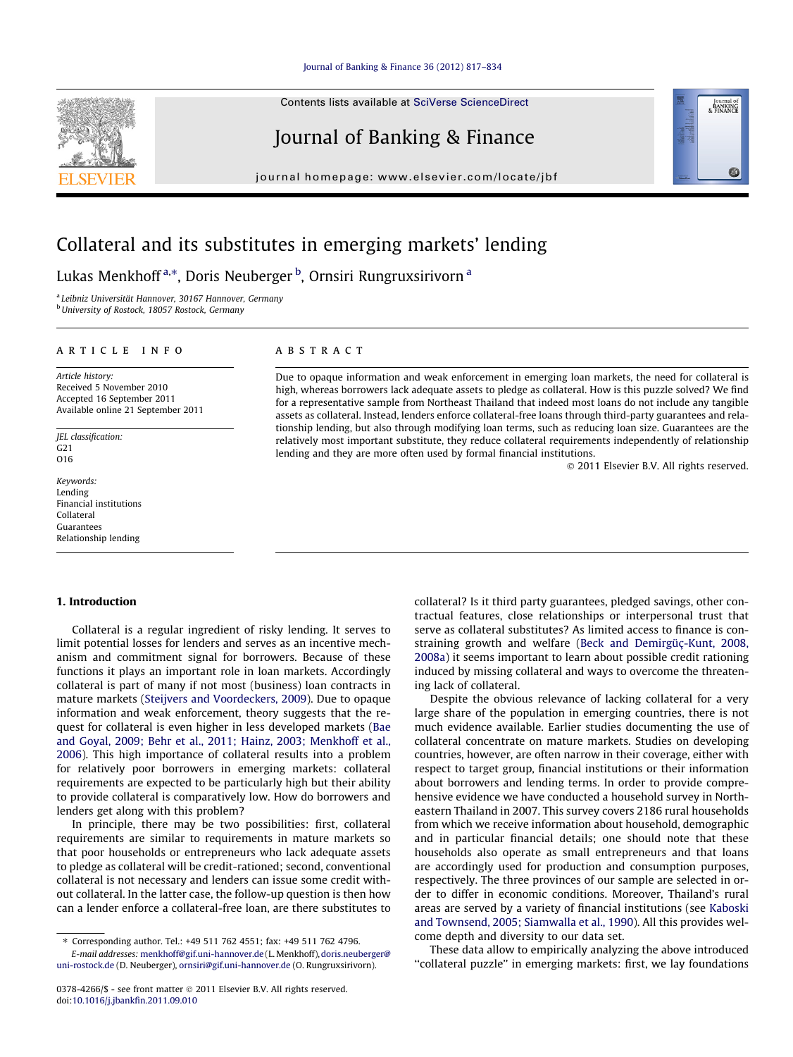## [Journal of Banking & Finance 36 \(2012\) 817–834](http://dx.doi.org/10.1016/j.jbankfin.2011.09.010)

Contents lists available at [SciVerse ScienceDirect](http://www.sciencedirect.com/science/journal/03784266)

## Journal of Banking & Finance

journal homepage: [www.elsevier.com/locate/jbf](http://www.elsevier.com/locate/jbf)



Lukas Menkhoff<sup>a,</sup>\*, Doris Neuberger <sup>b</sup>, Ornsiri Rungruxsirivorn <sup>a</sup>

<sup>a</sup> Leibniz Universität Hannover, 30167 Hannover, Germany <sup>b</sup> University of Rostock, 18057 Rostock, Germany

## article info

Article history: Received 5 November 2010 Accepted 16 September 2011 Available online 21 September 2011

JEL classification:  $G21$ O16

Keywords: Lending Financial institutions Collateral Guarantees Relationship lending

#### 1. Introduction

Collateral is a regular ingredient of risky lending. It serves to limit potential losses for lenders and serves as an incentive mechanism and commitment signal for borrowers. Because of these functions it plays an important role in loan markets. Accordingly collateral is part of many if not most (business) loan contracts in mature markets ([Steijvers and Voordeckers, 2009](#page--1-0)). Due to opaque information and weak enforcement, theory suggests that the request for collateral is even higher in less developed markets [\(Bae](#page--1-0) [and Goyal, 2009; Behr et al., 2011; Hainz, 2003; Menkhoff et al.,](#page--1-0) [2006](#page--1-0)). This high importance of collateral results into a problem for relatively poor borrowers in emerging markets: collateral requirements are expected to be particularly high but their ability to provide collateral is comparatively low. How do borrowers and lenders get along with this problem?

In principle, there may be two possibilities: first, collateral requirements are similar to requirements in mature markets so that poor households or entrepreneurs who lack adequate assets to pledge as collateral will be credit-rationed; second, conventional collateral is not necessary and lenders can issue some credit without collateral. In the latter case, the follow-up question is then how can a lender enforce a collateral-free loan, are there substitutes to

## **ABSTRACT**

Due to opaque information and weak enforcement in emerging loan markets, the need for collateral is high, whereas borrowers lack adequate assets to pledge as collateral. How is this puzzle solved? We find for a representative sample from Northeast Thailand that indeed most loans do not include any tangible assets as collateral. Instead, lenders enforce collateral-free loans through third-party guarantees and relationship lending, but also through modifying loan terms, such as reducing loan size. Guarantees are the relatively most important substitute, they reduce collateral requirements independently of relationship lending and they are more often used by formal financial institutions.

- 2011 Elsevier B.V. All rights reserved.

collateral? Is it third party guarantees, pledged savings, other contractual features, close relationships or interpersonal trust that serve as collateral substitutes? As limited access to finance is constraining growth and welfare [\(Beck and Demirgüç-Kunt, 2008,](#page--1-0) [2008a\)](#page--1-0) it seems important to learn about possible credit rationing induced by missing collateral and ways to overcome the threatening lack of collateral.

Despite the obvious relevance of lacking collateral for a very large share of the population in emerging countries, there is not much evidence available. Earlier studies documenting the use of collateral concentrate on mature markets. Studies on developing countries, however, are often narrow in their coverage, either with respect to target group, financial institutions or their information about borrowers and lending terms. In order to provide comprehensive evidence we have conducted a household survey in Northeastern Thailand in 2007. This survey covers 2186 rural households from which we receive information about household, demographic and in particular financial details; one should note that these households also operate as small entrepreneurs and that loans are accordingly used for production and consumption purposes, respectively. The three provinces of our sample are selected in order to differ in economic conditions. Moreover, Thailand's rural areas are served by a variety of financial institutions (see [Kaboski](#page--1-0) [and Townsend, 2005; Siamwalla et al., 1990\)](#page--1-0). All this provides welcome depth and diversity to our data set.

These data allow to empirically analyzing the above introduced ''collateral puzzle'' in emerging markets: first, we lay foundations





<sup>⇑</sup> Corresponding author. Tel.: +49 511 762 4551; fax: +49 511 762 4796. E-mail addresses: [menkhoff@gif.uni-hannover.de](mailto:menkhoff@gif.uni-hannover.de) (L. Menkhoff), [doris.neuberger@](mailto:doris.neuberger@uni-rostock.de) [uni-rostock.de](mailto:doris.neuberger@uni-rostock.de) (D. Neuberger), [ornsiri@gif.uni-hannover.de](mailto:ornsiri@gif.uni-hannover.de) (O. Rungruxsirivorn).

<sup>0378-4266/\$ -</sup> see front matter © 2011 Elsevier B.V. All rights reserved. doi[:10.1016/j.jbankfin.2011.09.010](http://dx.doi.org/10.1016/j.jbankfin.2011.09.010)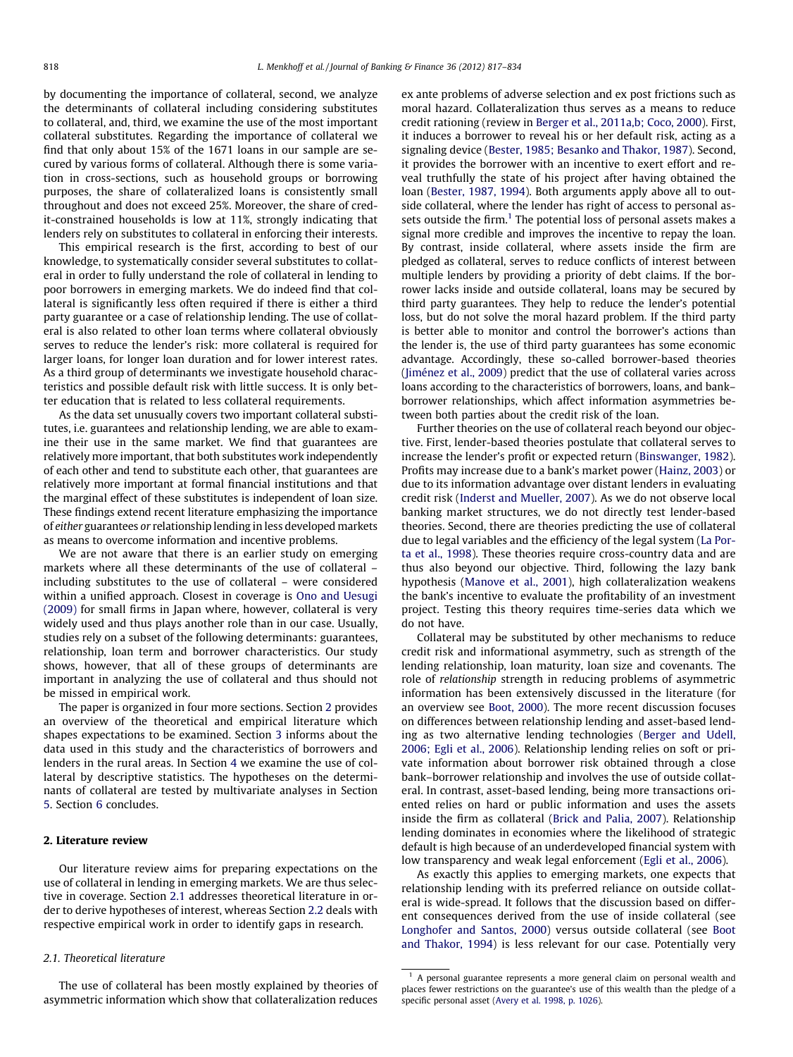by documenting the importance of collateral, second, we analyze the determinants of collateral including considering substitutes to collateral, and, third, we examine the use of the most important collateral substitutes. Regarding the importance of collateral we find that only about 15% of the 1671 loans in our sample are secured by various forms of collateral. Although there is some variation in cross-sections, such as household groups or borrowing purposes, the share of collateralized loans is consistently small throughout and does not exceed 25%. Moreover, the share of credit-constrained households is low at 11%, strongly indicating that lenders rely on substitutes to collateral in enforcing their interests.

This empirical research is the first, according to best of our knowledge, to systematically consider several substitutes to collateral in order to fully understand the role of collateral in lending to poor borrowers in emerging markets. We do indeed find that collateral is significantly less often required if there is either a third party guarantee or a case of relationship lending. The use of collateral is also related to other loan terms where collateral obviously serves to reduce the lender's risk: more collateral is required for larger loans, for longer loan duration and for lower interest rates. As a third group of determinants we investigate household characteristics and possible default risk with little success. It is only better education that is related to less collateral requirements.

As the data set unusually covers two important collateral substitutes, i.e. guarantees and relationship lending, we are able to examine their use in the same market. We find that guarantees are relatively more important, that both substitutes work independently of each other and tend to substitute each other, that guarantees are relatively more important at formal financial institutions and that the marginal effect of these substitutes is independent of loan size. These findings extend recent literature emphasizing the importance of either guarantees or relationship lending in less developed markets as means to overcome information and incentive problems.

We are not aware that there is an earlier study on emerging markets where all these determinants of the use of collateral – including substitutes to the use of collateral – were considered within a unified approach. Closest in coverage is [Ono and Uesugi](#page--1-0) [\(2009\)](#page--1-0) for small firms in Japan where, however, collateral is very widely used and thus plays another role than in our case. Usually, studies rely on a subset of the following determinants: guarantees, relationship, loan term and borrower characteristics. Our study shows, however, that all of these groups of determinants are important in analyzing the use of collateral and thus should not be missed in empirical work.

The paper is organized in four more sections. Section 2 provides an overview of the theoretical and empirical literature which shapes expectations to be examined. Section [3](#page--1-0) informs about the data used in this study and the characteristics of borrowers and lenders in the rural areas. In Section [4](#page--1-0) we examine the use of collateral by descriptive statistics. The hypotheses on the determinants of collateral are tested by multivariate analyses in Section [5](#page--1-0). Section [6](#page--1-0) concludes.

### 2. Literature review

Our literature review aims for preparing expectations on the use of collateral in lending in emerging markets. We are thus selective in coverage. Section 2.1 addresses theoretical literature in order to derive hypotheses of interest, whereas Section [2.2](#page--1-0) deals with respective empirical work in order to identify gaps in research.

## 2.1. Theoretical literature

The use of collateral has been mostly explained by theories of asymmetric information which show that collateralization reduces ex ante problems of adverse selection and ex post frictions such as moral hazard. Collateralization thus serves as a means to reduce credit rationing (review in [Berger et al., 2011a,b; Coco, 2000](#page--1-0)). First, it induces a borrower to reveal his or her default risk, acting as a signaling device [\(Bester, 1985; Besanko and Thakor, 1987](#page--1-0)). Second, it provides the borrower with an incentive to exert effort and reveal truthfully the state of his project after having obtained the loan ([Bester, 1987, 1994\)](#page--1-0). Both arguments apply above all to outside collateral, where the lender has right of access to personal assets outside the firm. $<sup>1</sup>$  The potential loss of personal assets makes a</sup> signal more credible and improves the incentive to repay the loan. By contrast, inside collateral, where assets inside the firm are pledged as collateral, serves to reduce conflicts of interest between multiple lenders by providing a priority of debt claims. If the borrower lacks inside and outside collateral, loans may be secured by third party guarantees. They help to reduce the lender's potential loss, but do not solve the moral hazard problem. If the third party is better able to monitor and control the borrower's actions than the lender is, the use of third party guarantees has some economic advantage. Accordingly, these so-called borrower-based theories ([Jiménez et al., 2009\)](#page--1-0) predict that the use of collateral varies across loans according to the characteristics of borrowers, loans, and bank– borrower relationships, which affect information asymmetries between both parties about the credit risk of the loan.

Further theories on the use of collateral reach beyond our objective. First, lender-based theories postulate that collateral serves to increase the lender's profit or expected return [\(Binswanger, 1982\)](#page--1-0). Profits may increase due to a bank's market power [\(Hainz, 2003\)](#page--1-0) or due to its information advantage over distant lenders in evaluating credit risk ([Inderst and Mueller, 2007\)](#page--1-0). As we do not observe local banking market structures, we do not directly test lender-based theories. Second, there are theories predicting the use of collateral due to legal variables and the efficiency of the legal system ([La Por](#page--1-0)[ta et al., 1998](#page--1-0)). These theories require cross-country data and are thus also beyond our objective. Third, following the lazy bank hypothesis [\(Manove et al., 2001\)](#page--1-0), high collateralization weakens the bank's incentive to evaluate the profitability of an investment project. Testing this theory requires time-series data which we do not have.

Collateral may be substituted by other mechanisms to reduce credit risk and informational asymmetry, such as strength of the lending relationship, loan maturity, loan size and covenants. The role of relationship strength in reducing problems of asymmetric information has been extensively discussed in the literature (for an overview see [Boot, 2000](#page--1-0)). The more recent discussion focuses on differences between relationship lending and asset-based lending as two alternative lending technologies [\(Berger and Udell,](#page--1-0) [2006; Egli et al., 2006](#page--1-0)). Relationship lending relies on soft or private information about borrower risk obtained through a close bank–borrower relationship and involves the use of outside collateral. In contrast, asset-based lending, being more transactions oriented relies on hard or public information and uses the assets inside the firm as collateral [\(Brick and Palia, 2007](#page--1-0)). Relationship lending dominates in economies where the likelihood of strategic default is high because of an underdeveloped financial system with low transparency and weak legal enforcement ([Egli et al., 2006](#page--1-0)).

As exactly this applies to emerging markets, one expects that relationship lending with its preferred reliance on outside collateral is wide-spread. It follows that the discussion based on different consequences derived from the use of inside collateral (see [Longhofer and Santos, 2000\)](#page--1-0) versus outside collateral (see [Boot](#page--1-0) [and Thakor, 1994](#page--1-0)) is less relevant for our case. Potentially very

 $1$  A personal guarantee represents a more general claim on personal wealth and places fewer restrictions on the guarantee's use of this wealth than the pledge of a specific personal asset [\(Avery et al. 1998, p. 1026](#page--1-0)).